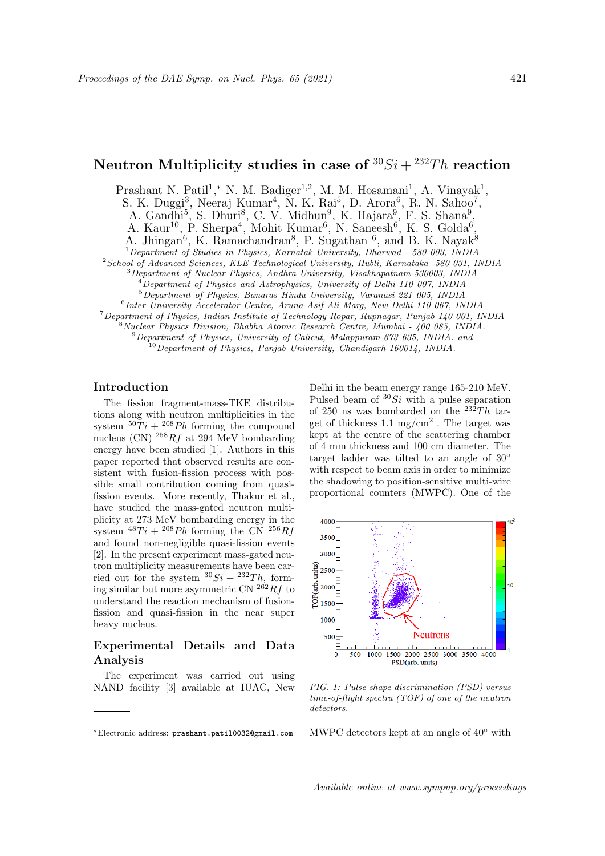# Neutron Multiplicity studies in case of  ${}^{30}Si + {}^{232}Th$  reaction

Prashant N. Patil<sup>1</sup>,\* N. M. Badiger<sup>1,2</sup>, M. M. Hosamani<sup>1</sup>, A. Vinayak<sup>1</sup>,

S. K. Duggi<sup>3</sup>, Neeraj Kumar<sup>4</sup>, N. K. Rai<sup>5</sup>, D. Arora<sup>6</sup>, R. N. Sahoo<sup>7</sup>,

A. Gandhi<sup>5</sup>, S. Dhuri<sup>8</sup>, C. V. Midhun<sup>9</sup>, K. Hajara<sup>9</sup>, F. S. Shana<sup>9</sup>,

A. Kaur<sup>10</sup>, P. Sherpa<sup>4</sup>, Mohit Kumar<sup>6</sup>, N. Saneesh<sup>6</sup>, K. S. Golda<sup>6</sup>,

A. Jhingan<sup>6</sup>, K. Ramachandran<sup>8</sup>, P. Sugathan <sup>6</sup>, and B. K. Nayak<sup>8</sup>

<sup>1</sup>Department of Studies in Physics, Karnatak University, Dharwad - 580 003, INDIA

<sup>2</sup> School of Advanced Sciences, KLE Technological University, Hubli, Karnataka -580 031, INDIA

<sup>3</sup>Department of Nuclear Physics, Andhra University, Visakhapatnam-530003, INDIA

 $^{4}$ Department of Physics and Astrophysics, University of Delhi-110 007, INDIA

<sup>5</sup>Department of Physics, Banaras Hindu University, Varanasi-221 005, INDIA

6 Inter University Accelerator Centre, Aruna Asif Ali Marg, New Delhi-110 067, INDIA

<sup>7</sup>Department of Physics, Indian Institute of Technology Ropar, Rupnagar, Punjab 140 001, INDIA

<sup>8</sup>Nuclear Physics Division, Bhabha Atomic Research Centre, Mumbai - 400 085, INDIA.

<sup>9</sup>Department of Physics, University of Calicut, Malappuram-673 635, INDIA. and  $^{10}$ Department of Physics, Panjab University, Chandigarh-160014, INDIA.

### Introduction

The fission fragment-mass-TKE distributions along with neutron multiplicities in the system  $50Ti + 208Pb$  forming the compound nucleus (CN)  $^{258}Rf$  at 294 MeV bombarding energy have been studied [1]. Authors in this paper reported that observed results are consistent with fusion-fission process with possible small contribution coming from quasifission events. More recently, Thakur et al., have studied the mass-gated neutron multiplicity at 273 MeV bombarding energy in the system  $^{48}Ti + {}^{208}Pb$  forming the CN  $^{256}Rf$ and found non-negligible quasi-fission events [2]. In the present experiment mass-gated neutron multiplicity measurements have been carried out for the system  ${}^{30}Si + {}^{232}Th$ , forming similar but more asymmetric CN  $^{262}Rf$  to understand the reaction mechanism of fusionfission and quasi-fission in the near super heavy nucleus.

# Experimental Details and Data Analysis

The experiment was carried out using NAND facility [3] available at IUAC, New

Delhi in the beam energy range 165-210 MeV. Pulsed beam of  ${}^{30}Si$  with a pulse separation of 250 ns was bombarded on the  $^{232}Th$  target of thickness  $1.1 \text{ mg/cm}^2$ . The target was kept at the centre of the scattering chamber of 4 mm thickness and 100 cm diameter. The target ladder was tilted to an angle of 30◦ with respect to beam axis in order to minimize the shadowing to position-sensitive multi-wire proportional counters (MWPC). One of the



FIG. 1: Pulse shape discrimination (PSD) versus time-of-flight spectra (TOF) of one of the neutron detectors.

MWPC detectors kept at an angle of  $40°$  with

Available online at www.sympnp.org/proceedings

<sup>∗</sup>Electronic address: prashant.patil0032@gmail.com